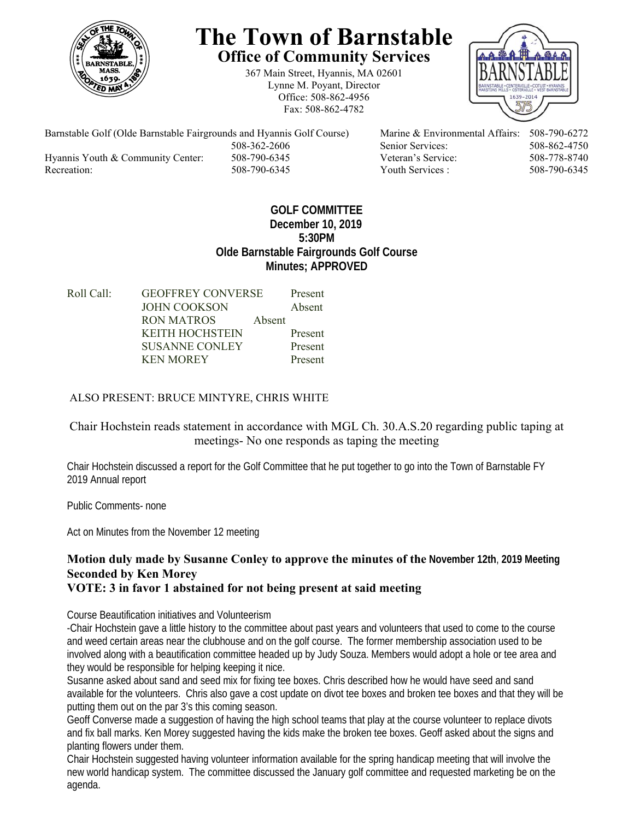

# **The Town of Barnstable Office of Community Services**

367 Main Street, Hyannis, MA 02601 Lynne M. Poyant, Director Office: 508-862-4956 Fax: 508-862-4782



 508-362-2606 Senior Services: 508-862-4750 Hyannis Youth & Community Center: 508-790-6345 Veteran's Service: 508-778-8740 Recreation: 508-790-6345 Youth Services : 508-790-6345 S08-790-6345

Barnstable Golf (Olde Barnstable Fairgrounds and Hyannis Golf Course) Marine & Environmental Affairs: 508-790-6272

# **GOLF COMMITTEE December 10, 2019 5:30PM Olde Barnstable Fairgrounds Golf Course Minutes; APPROVED**

Roll Call: GEOFFREY CONVERSE Present JOHN COOKSON Absent RON MATROS Absent KEITH HOCHSTEIN Present SUSANNE CONLEY Present KEN MOREY Present

# ALSO PRESENT: BRUCE MINTYRE, CHRIS WHITE

# Chair Hochstein reads statement in accordance with MGL Ch. 30.A.S.20 regarding public taping at meetings- No one responds as taping the meeting

Chair Hochstein discussed a report for the Golf Committee that he put together to go into the Town of Barnstable FY 2019 Annual report

Public Comments- none

Act on Minutes from the November 12 meeting

# **Motion duly made by Susanne Conley to approve the minutes of the November 12th**, **2019 Meeting Seconded by Ken Morey**

## **VOTE: 3 in favor 1 abstained for not being present at said meeting**

Course Beautification initiatives and Volunteerism

-Chair Hochstein gave a little history to the committee about past years and volunteers that used to come to the course and weed certain areas near the clubhouse and on the golf course. The former membership association used to be involved along with a beautification committee headed up by Judy Souza. Members would adopt a hole or tee area and they would be responsible for helping keeping it nice.

Susanne asked about sand and seed mix for fixing tee boxes. Chris described how he would have seed and sand available for the volunteers. Chris also gave a cost update on divot tee boxes and broken tee boxes and that they will be putting them out on the par 3's this coming season.

Geoff Converse made a suggestion of having the high school teams that play at the course volunteer to replace divots and fix ball marks. Ken Morey suggested having the kids make the broken tee boxes. Geoff asked about the signs and planting flowers under them.

Chair Hochstein suggested having volunteer information available for the spring handicap meeting that will involve the new world handicap system. The committee discussed the January golf committee and requested marketing be on the agenda.